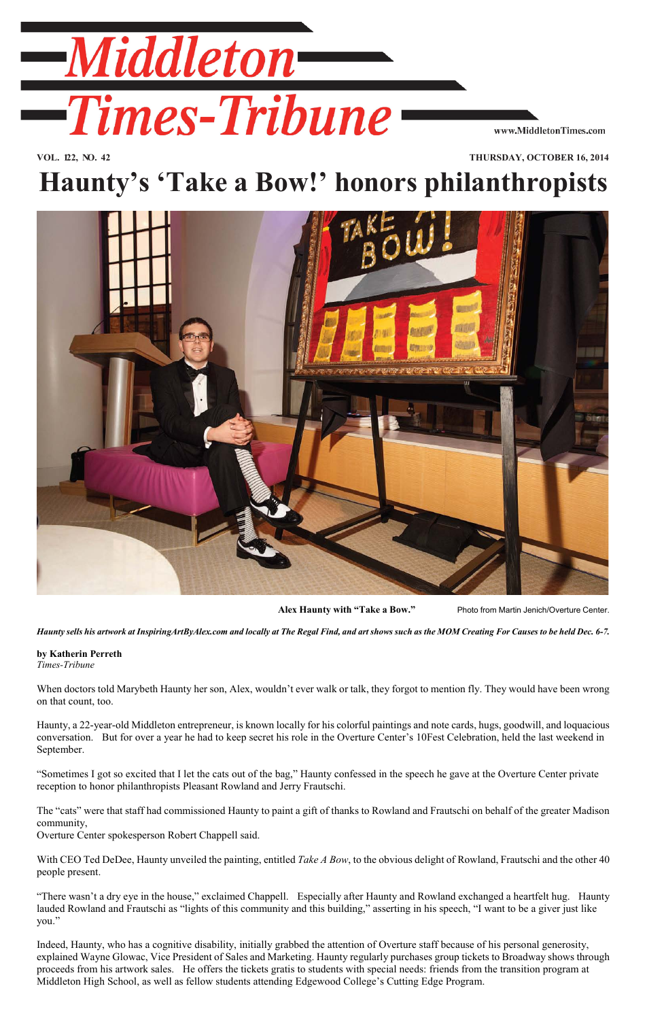

**VOL. 122, NO. 42 THURSDAY, OCTOBER 16, 2014**

## **Haunty's 'Take a Bow!' honors philanthropists**



 **Alex Haunty with "Take a Bow."** Photo from Martin Jenich/Overture Center.

*Haunty sells his artwork at InspiringArtByAlex.com and locally at The Regal Find, and art shows such as the MOM Creating For Causes to be held Dec. 6-7.*

## **by Katherin Perreth**

*Times-Tribune*

When doctors told Marybeth Haunty her son, Alex, wouldn't ever walk or talk, they forgot to mention fly. They would have been wrong on that count, too.

Haunty, a 22-year-old Middleton entrepreneur, is known locally for his colorful paintings and note cards, hugs, goodwill, and loquacious conversation. But for over a year he had to keep secret his role in the Overture Center's 10Fest Celebration, held the last weekend in September.

"Sometimes I got so excited that I let the cats out of the bag," Haunty confessed in the speech he gave at the Overture Center private reception to honor philanthropists Pleasant Rowland and Jerry Frautschi.

The "cats" were that staff had commissioned Haunty to paint a gift of thanks to Rowland and Frautschi on behalf of the greater Madison community,

Overture Center spokesperson Robert Chappell said.

With CEO Ted DeDee, Haunty unveiled the painting, entitled *Take A Bow*, to the obvious delight of Rowland, Frautschi and the other 40 people present.

"There wasn't a dry eye in the house," exclaimed Chappell. Especially after Haunty and Rowland exchanged a heartfelt hug. Haunty lauded Rowland and Frautschi as "lights of this community and this building," asserting in his speech, "I want to be a giver just like you."

Indeed, Haunty, who has a cognitive disability, initially grabbed the attention of Overture staff because of his personal generosity, explained Wayne Glowac, Vice President of Sales and Marketing. Haunty regularly purchases group tickets to Broadway shows through proceeds from his artwork sales. He offers the tickets gratis to students with special needs: friends from the transition program at Middleton High School, as well as fellow students attending Edgewood College's Cutting Edge Program.